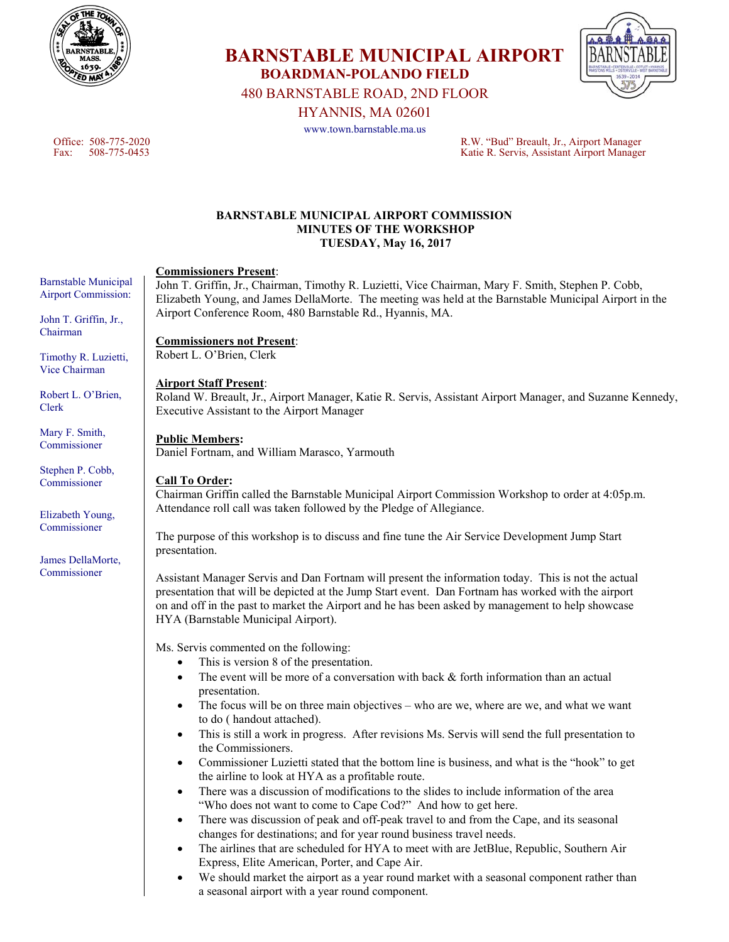

480 BARNSTABLE ROAD, 2ND FLOOR HYANNIS, MA 02601

**BOARDMAN-POLANDO FIELD** 

**BARNSTABLE MUNICIPAL AIRPORT** 

www.town.barnstable.ma.us

Office: 508-775-2020 R.W. "Bud" Breault, Jr., Airport Manager Katie R. Servis, Assistant Airport Manager

### **BARNSTABLE MUNICIPAL AIRPORT COMMISSION MINUTES OF THE WORKSHOP TUESDAY, May 16, 2017**

# **Commissioners Present**:

John T. Griffin, Jr., Chairman, Timothy R. Luzietti, Vice Chairman, Mary F. Smith, Stephen P. Cobb, Elizabeth Young, and James DellaMorte. The meeting was held at the Barnstable Municipal Airport in the Airport Conference Room, 480 Barnstable Rd., Hyannis, MA.

### **Commissioners not Present**:

Robert L. O'Brien, Clerk

## **Airport Staff Present**:

Roland W. Breault, Jr., Airport Manager, Katie R. Servis, Assistant Airport Manager, and Suzanne Kennedy, Executive Assistant to the Airport Manager

## **Public Members:**

Daniel Fortnam, and William Marasco, Yarmouth

### **Call To Order:**

Chairman Griffin called the Barnstable Municipal Airport Commission Workshop to order at 4:05p.m. Attendance roll call was taken followed by the Pledge of Allegiance.

The purpose of this workshop is to discuss and fine tune the Air Service Development Jump Start presentation.

Assistant Manager Servis and Dan Fortnam will present the information today. This is not the actual presentation that will be depicted at the Jump Start event. Dan Fortnam has worked with the airport on and off in the past to market the Airport and he has been asked by management to help showcase HYA (Barnstable Municipal Airport).

Ms. Servis commented on the following:

- This is version 8 of the presentation.
- The event will be more of a conversation with back & forth information than an actual presentation.
- The focus will be on three main objectives who are we, where are we, and what we want to do ( handout attached).
- This is still a work in progress. After revisions Ms. Servis will send the full presentation to the Commissioners.
- Commissioner Luzietti stated that the bottom line is business, and what is the "hook" to get the airline to look at HYA as a profitable route.
- There was a discussion of modifications to the slides to include information of the area "Who does not want to come to Cape Cod?" And how to get here.
- There was discussion of peak and off-peak travel to and from the Cape, and its seasonal changes for destinations; and for year round business travel needs.
- The airlines that are scheduled for HYA to meet with are JetBlue, Republic, Southern Air Express, Elite American, Porter, and Cape Air.
- We should market the airport as a year round market with a seasonal component rather than a seasonal airport with a year round component.

Barnstable Municipal Airport Commission:

John T. Griffin, Jr., Chairman

Timothy R. Luzietti, Vice Chairman

Robert L. O'Brien, Clerk

Mary F. Smith, Commissioner

Stephen P. Cobb, Commissioner

Elizabeth Young, Commissioner

James DellaMorte, Commissioner